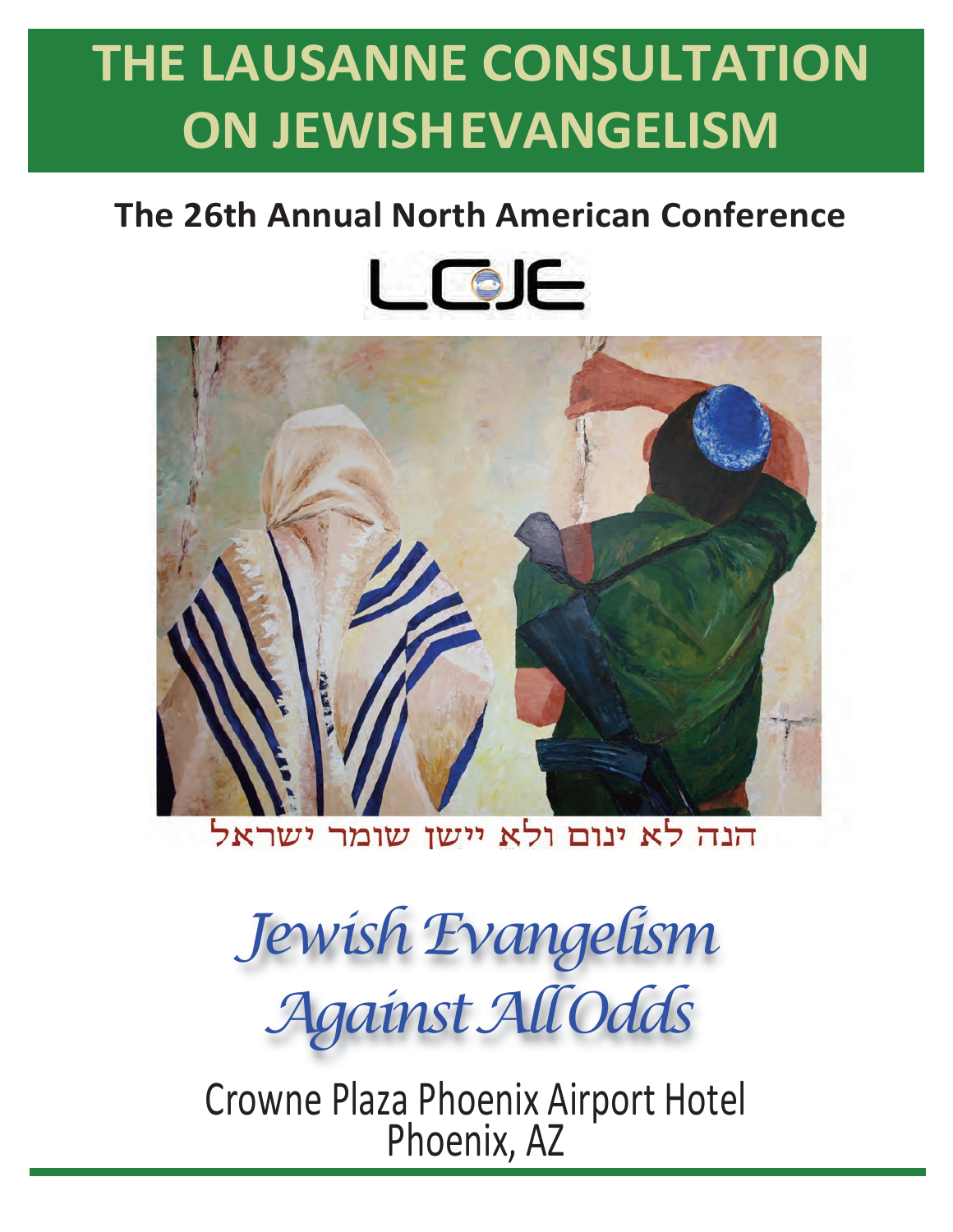# **THE LAUSANNE CONSULTATION ON JEWISHEVANGELISM**

# **The 26th Annual North American Conference**





הנה לא ינום ולא יישו שומר ישראל

*Jewish Evangelism AgainstAllOdds*

Crowne Plaza Phoenix Airport Hotel Phoenix, AZ

**March 2-4,2009**